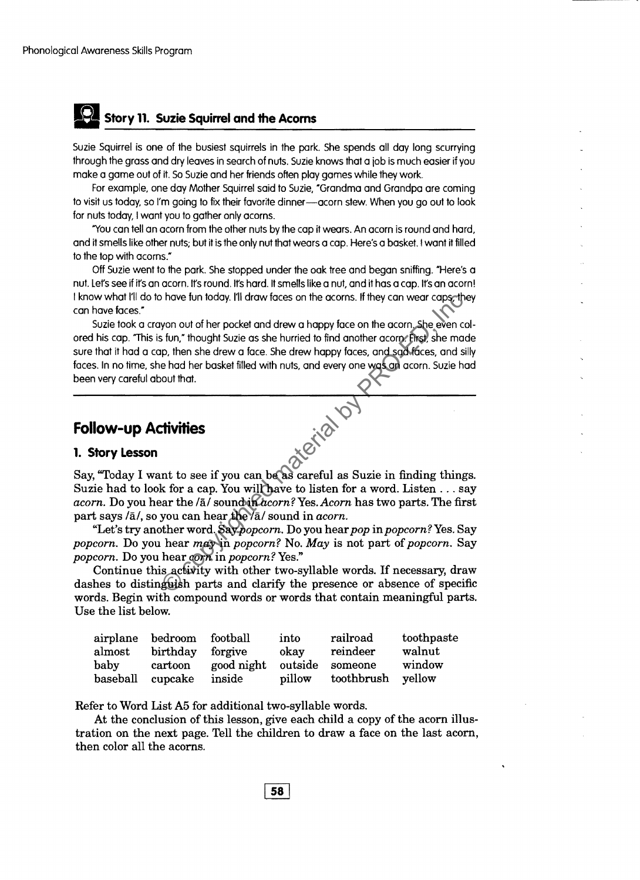## **II Story 11. Suzie Squirrel and the Acoms**

Suzie Squirrel is one of the busiest squirrels in the park. She spends all day long scurrying through the grass and dry leaves in search of nuts. Suzie knows that a job is much easier if you make a game out of it. So Suzie and her friends often play games while they work.

For example, one day Mother Squirrel said to Suzie, "Grandma and Grandpa are coming to visit us today, so I'm going to fix their favorite dinner-acorn stew. When you go out to look for nuts today, I want you to gather only acorns.

'You can tell an acorn from the other nuts by the cap it wears. An acorn is round and hard, and it smells like other nuts; but it is the only nut that wears a cap. Here's a basket. I want it filled to the top with acorns,"

Off Suzie went to the park. She stopped under the oak tree and began sniffing. "Here's a nut. Let's see if it's an acorn. It's round. It's hard. It smells like a nut, and it has a cap. It's an acorn! I know what I'll do to have fun today. I'll draw faces on the acorns. If they can wear caps, they can have faces."

Suzie took a crayon out of her pocket and drew a happy face on the acorn. She even colored his cap. "This is fun," thought Suzie as she hurried to find another acorn. First. she made sure that it had a cap, then she drew a face. She drew happy faces, and sad faces, and silly faces. In no time, she had her basket filled with nuts, and every one was an acorn. Suzie had been very careful about that. The matter word of the policies of the control of the protection of the protect and drew a happy face on the acorn. She even cs fun," thought Suzie as she hurried to find another acome first) she mad prop. then she drew a

## **Follow-up Activities**

## **1. Story Lesson**

Say, "Today I want to see if you can be as careful as Suzie in finding things. Suzie had to look for a cap. You will have to listen for a word. Listen ... say acorn. Do you hear the /ā/ sound in *acorn?* Yes. *Acorn* has two parts. The first part says / $\bar{a}$ /, so you can hear the  $\bar{a}$ /<sub>3</sub> sound in *acorn*.

"Let's try another word. Say*popcorn.* Do you hear*pop* in*popcorn?* Yes. Say *popcorn.* Do you hear *may* in *popcorn?* No. *May* is not part of *popcorn.* Say *popcorn.* Do you hear *corn* in *popcorn?* Yes."

Continue this activity with other two-syllable words. If necessary, draw dashes to distinguish parts and clarify the presence or absence of specific words. Begin with compound words or words that contain meaningful parts. Use the list below.

|                  | airplane bedroom football |                            | into   | railroad          | toothpaste |
|------------------|---------------------------|----------------------------|--------|-------------------|------------|
| almost           | birthday forgive          |                            | okay   | reindeer          | walnut     |
| baby             | cartoon                   | good night outside someone |        |                   | window     |
| baseball cupcake |                           | inside                     | pillow | toothbrush yellow |            |

Refer to Word List A5 for additional two-syllable words.

At the conclusion of this lesson, give each child a copy of the acorn illustration on the next page. Tell the children to draw a face on the last acorn, then color all the acorns.